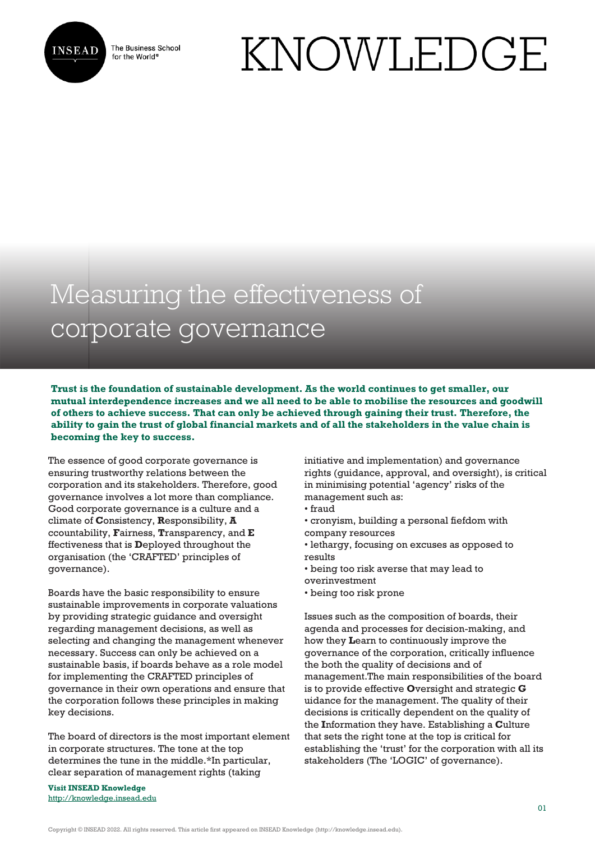

The Business School for the World<sup>®</sup>

## KNOWLEDGE

## Measuring the effectiveness of corporate governance

**Trust is the foundation of sustainable development. As the world continues to get smaller, our mutual interdependence increases and we all need to be able to mobilise the resources and goodwill of others to achieve success. That can only be achieved through gaining their trust. Therefore, the ability to gain the trust of global financial markets and of all the stakeholders in the value chain is becoming the key to success.** 

The essence of good corporate governance is ensuring trustworthy relations between the corporation and its stakeholders. Therefore, good governance involves a lot more than compliance. Good corporate governance is a culture and a climate of **C**onsistency, **R**esponsibility, **A** ccountability, **F**airness, **T**ransparency, and **E** ffectiveness that is **D**eployed throughout the organisation (the 'CRAFTED' principles of governance).

Boards have the basic responsibility to ensure sustainable improvements in corporate valuations by providing strategic guidance and oversight regarding management decisions, as well as selecting and changing the management whenever necessary. Success can only be achieved on a sustainable basis, if boards behave as a role model for implementing the CRAFTED principles of governance in their own operations and ensure that the corporation follows these principles in making key decisions.

The board of directors is the most important element in corporate structures. The tone at the top determines the tune in the middle.\*In particular, clear separation of management rights (taking

**Visit INSEAD Knowledge** <http://knowledge.insead.edu> initiative and implementation) and governance rights (guidance, approval, and oversight), is critical in minimising potential 'agency' risks of the management such as:

- fraud
- cronyism, building a personal fiefdom with company resources
- lethargy, focusing on excuses as opposed to results
- being too risk averse that may lead to overinvestment
- being too risk prone

Issues such as the composition of boards, their agenda and processes for decision-making, and how they **L**earn to continuously improve the governance of the corporation, critically influence the both the quality of decisions and of management.The main responsibilities of the board is to provide effective **O**versight and strategic **G** uidance for the management. The quality of their decisions is critically dependent on the quality of the **I**nformation they have. Establishing a **C**ulture that sets the right tone at the top is critical for establishing the 'trust' for the corporation with all its stakeholders (The 'LOGIC' of governance).

Copyright © INSEAD 2022. All rights reserved. This article first appeared on INSEAD Knowledge (http://knowledge.insead.edu).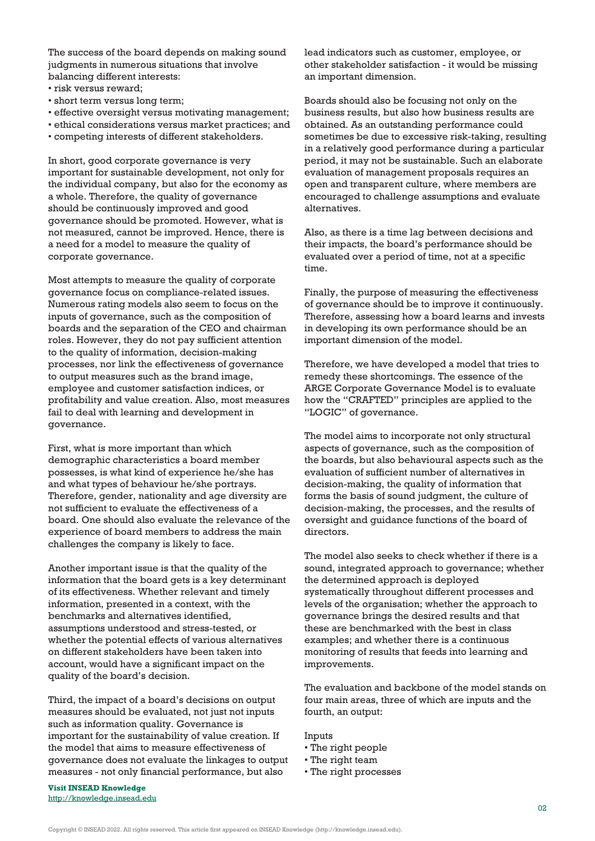The success of the board depends on making sound judgments in numerous situations that involve balancing different interests:

- risk versus reward;
- short term versus long term;
- effective oversight versus motivating management;
- ethical considerations versus market practices; and
- competing interests of different stakeholders.

In short, good corporate governance is very important for sustainable development, not only for the individual company, but also for the economy as a whole. Therefore, the quality of governance should be continuously improved and good governance should be promoted. However, what is not measured, cannot be improved. Hence, there is a need for a model to measure the quality of corporate governance.

Most attempts to measure the quality of corporate governance focus on compliance-related issues. Numerous rating models also seem to focus on the inputs of governance, such as the composition of boards and the separation of the CEO and chairman roles. However, they do not pay sufficient attention to the quality of information, decision-making processes, nor link the effectiveness of governance to output measures such as the brand image, employee and customer satisfaction indices, or profitability and value creation. Also, most measures fail to deal with learning and development in governance.

First, what is more important than which demographic characteristics a board member possesses, is what kind of experience he/she has and what types of behaviour he/she portrays. Therefore, gender, nationality and age diversity are not sufficient to evaluate the effectiveness of a board. One should also evaluate the relevance of the experience of board members to address the main challenges the company is likely to face.

Another important issue is that the quality of the information that the board gets is a key determinant of its effectiveness. Whether relevant and timely information, presented in a context, with the benchmarks and alternatives identified, assumptions understood and stress-tested, or whether the potential effects of various alternatives on different stakeholders have been taken into account, would have a significant impact on the quality of the board's decision.

Third, the impact of a board's decisions on output measures should be evaluated, not just not inputs such as information quality. Governance is important for the sustainability of value creation. If the model that aims to measure effectiveness of governance does not evaluate the linkages to output measures - not only financial performance, but also

**Visit INSEAD Knowledge** <http://knowledge.insead.edu> lead indicators such as customer, employee, or other stakeholder satisfaction - it would be missing an important dimension.

Boards should also be focusing not only on the business results, but also how business results are obtained. As an outstanding performance could sometimes be due to excessive risk-taking, resulting in a relatively good performance during a particular period, it may not be sustainable. Such an elaborate evaluation of management proposals requires an open and transparent culture, where members are encouraged to challenge assumptions and evaluate alternatives.

Also, as there is a time lag between decisions and their impacts, the board's performance should be evaluated over a period of time, not at a specific time.

Finally, the purpose of measuring the effectiveness of governance should be to improve it continuously. Therefore, assessing how a board learns and invests in developing its own performance should be an important dimension of the model.

Therefore, we have developed a model that tries to remedy these shortcomings. The essence of the ARGE Corporate Governance Model is to evaluate how the "CRAFTED" principles are applied to the "LOGIC" of governance.

The model aims to incorporate not only structural aspects of governance, such as the composition of the boards, but also behavioural aspects such as the evaluation of sufficient number of alternatives in decision-making, the quality of information that forms the basis of sound judgment, the culture of decision-making, the processes, and the results of oversight and guidance functions of the board of directors.

The model also seeks to check whether if there is a sound, integrated approach to governance; whether the determined approach is deployed systematically throughout different processes and levels of the organisation; whether the approach to governance brings the desired results and that these are benchmarked with the best in class examples; and whether there is a continuous monitoring of results that feeds into learning and improvements.

The evaluation and backbone of the model stands on four main areas, three of which are inputs and the fourth, an output:

Inputs

- The right people
- The right team
- The right processes